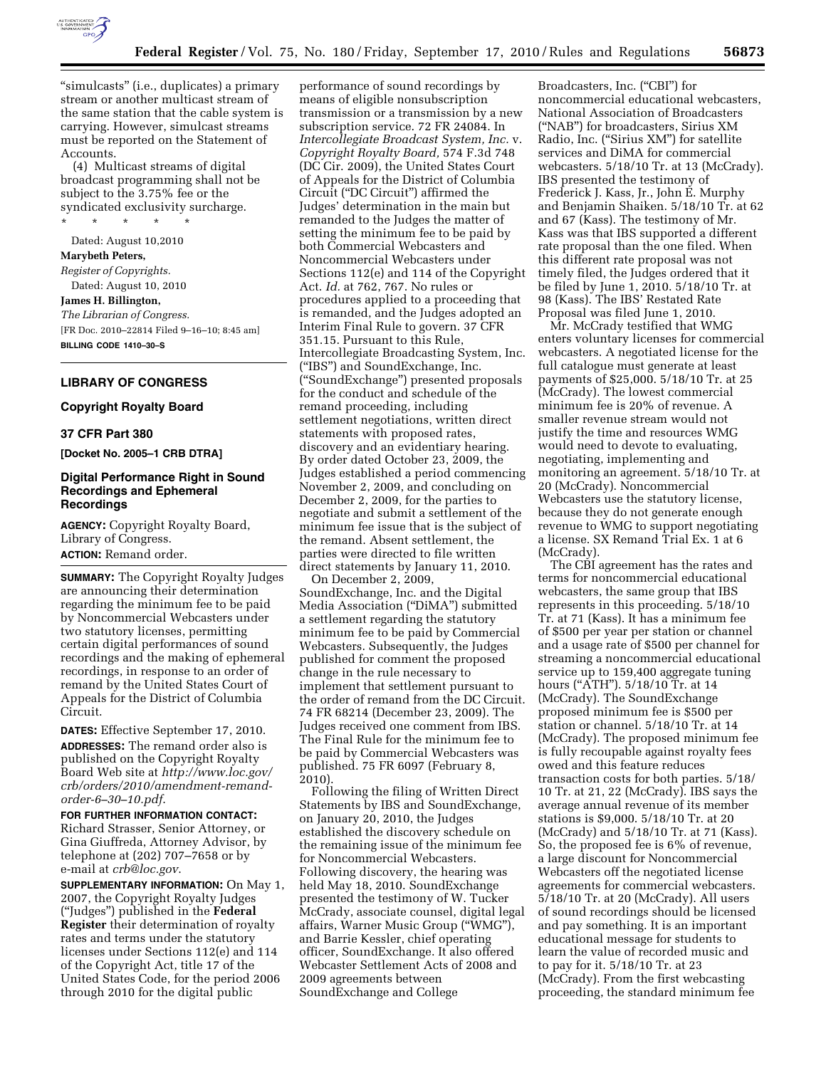

"simulcasts" (i.e., duplicates) a primary stream or another multicast stream of the same station that the cable system is carrying. However, simulcast streams must be reported on the Statement of Accounts.

(4) Multicast streams of digital broadcast programming shall not be subject to the 3.75% fee or the syndicated exclusivity surcharge. \* \* \* \* \*

Dated: August 10,2010 **Marybeth Peters,**  *Register of Copyrights.*  Dated: August 10, 2010 **James H. Billington,**  *The Librarian of Congress.*  [FR Doc. 2010–22814 Filed 9–16–10; 8:45 am] **BILLING CODE 1410–30–S** 

# **LIBRARY OF CONGRESS**

# **Copyright Royalty Board**

#### **37 CFR Part 380**

**[Docket No. 2005–1 CRB DTRA]** 

# **Digital Performance Right in Sound Recordings and Ephemeral Recordings**

**AGENCY:** Copyright Royalty Board, Library of Congress. **ACTION:** Remand order.

**SUMMARY:** The Copyright Royalty Judges are announcing their determination regarding the minimum fee to be paid by Noncommercial Webcasters under two statutory licenses, permitting certain digital performances of sound recordings and the making of ephemeral recordings, in response to an order of remand by the United States Court of Appeals for the District of Columbia Circuit.

**DATES:** Effective September 17, 2010. **ADDRESSES:** The remand order also is published on the Copyright Royalty Board Web site at *[http://www.loc.gov/](http://www.loc.gov/crb/orders/2010/amendment-remand-order-6-30-10.pdf)  [crb/orders/2010/amendment-remand](http://www.loc.gov/crb/orders/2010/amendment-remand-order-6-30-10.pdf)[order-6–30–10.pdf](http://www.loc.gov/crb/orders/2010/amendment-remand-order-6-30-10.pdf)*.

#### **FOR FURTHER INFORMATION CONTACT:**

Richard Strasser, Senior Attorney, or Gina Giuffreda, Attorney Advisor, by telephone at (202) 707–7658 or by e-mail at *[crb@loc.gov](mailto:crb@loc.gov)*.

**SUPPLEMENTARY INFORMATION:** On May 1, 2007, the Copyright Royalty Judges (''Judges'') published in the **Federal Register** their determination of royalty rates and terms under the statutory licenses under Sections 112(e) and 114 of the Copyright Act, title 17 of the United States Code, for the period 2006 through 2010 for the digital public

performance of sound recordings by means of eligible nonsubscription transmission or a transmission by a new subscription service. 72 FR 24084. In *Intercollegiate Broadcast System, Inc.* v. *Copyright Royalty Board,* 574 F.3d 748 (DC Cir. 2009), the United States Court of Appeals for the District of Columbia Circuit (''DC Circuit'') affirmed the Judges' determination in the main but remanded to the Judges the matter of setting the minimum fee to be paid by both Commercial Webcasters and Noncommercial Webcasters under Sections 112(e) and 114 of the Copyright Act. *Id.* at 762, 767. No rules or procedures applied to a proceeding that is remanded, and the Judges adopted an Interim Final Rule to govern. 37 CFR 351.15. Pursuant to this Rule, Intercollegiate Broadcasting System, Inc. (''IBS'') and SoundExchange, Inc. (''SoundExchange'') presented proposals for the conduct and schedule of the remand proceeding, including settlement negotiations, written direct statements with proposed rates, discovery and an evidentiary hearing. By order dated October 23, 2009, the Judges established a period commencing November 2, 2009, and concluding on December 2, 2009, for the parties to negotiate and submit a settlement of the minimum fee issue that is the subject of the remand. Absent settlement, the parties were directed to file written direct statements by January 11, 2010.

On December 2, 2009, SoundExchange, Inc. and the Digital Media Association (''DiMA'') submitted a settlement regarding the statutory minimum fee to be paid by Commercial Webcasters. Subsequently, the Judges published for comment the proposed change in the rule necessary to implement that settlement pursuant to the order of remand from the DC Circuit. 74 FR 68214 (December 23, 2009). The Judges received one comment from IBS. The Final Rule for the minimum fee to be paid by Commercial Webcasters was published. 75 FR 6097 (February 8, 2010).

Following the filing of Written Direct Statements by IBS and SoundExchange, on January 20, 2010, the Judges established the discovery schedule on the remaining issue of the minimum fee for Noncommercial Webcasters. Following discovery, the hearing was held May 18, 2010. SoundExchange presented the testimony of W. Tucker McCrady, associate counsel, digital legal affairs, Warner Music Group (''WMG''), and Barrie Kessler, chief operating officer, SoundExchange. It also offered Webcaster Settlement Acts of 2008 and 2009 agreements between SoundExchange and College

Broadcasters, Inc. ("CBI") for noncommercial educational webcasters, National Association of Broadcasters (''NAB'') for broadcasters, Sirius XM Radio, Inc. (''Sirius XM'') for satellite services and DiMA for commercial webcasters. 5/18/10 Tr. at 13 (McCrady). IBS presented the testimony of Frederick J. Kass, Jr., John E. Murphy and Benjamin Shaiken. 5/18/10 Tr. at 62 and 67 (Kass). The testimony of Mr. Kass was that IBS supported a different rate proposal than the one filed. When this different rate proposal was not timely filed, the Judges ordered that it be filed by June 1, 2010. 5/18/10 Tr. at 98 (Kass). The IBS' Restated Rate Proposal was filed June 1, 2010.

Mr. McCrady testified that WMG enters voluntary licenses for commercial webcasters. A negotiated license for the full catalogue must generate at least payments of \$25,000. 5/18/10 Tr. at 25 (McCrady). The lowest commercial minimum fee is 20% of revenue. A smaller revenue stream would not justify the time and resources WMG would need to devote to evaluating, negotiating, implementing and monitoring an agreement. 5/18/10 Tr. at 20 (McCrady). Noncommercial Webcasters use the statutory license, because they do not generate enough revenue to WMG to support negotiating a license. SX Remand Trial Ex. 1 at 6 (McCrady).

The CBI agreement has the rates and terms for noncommercial educational webcasters, the same group that IBS represents in this proceeding. 5/18/10 Tr. at 71 (Kass). It has a minimum fee of \$500 per year per station or channel and a usage rate of \$500 per channel for streaming a noncommercial educational service up to 159,400 aggregate tuning hours (''ATH''). 5/18/10 Tr. at 14 (McCrady). The SoundExchange proposed minimum fee is \$500 per station or channel. 5/18/10 Tr. at 14 (McCrady). The proposed minimum fee is fully recoupable against royalty fees owed and this feature reduces transaction costs for both parties. 5/18/ 10 Tr. at 21, 22 (McCrady). IBS says the average annual revenue of its member stations is \$9,000. 5/18/10 Tr. at 20 (McCrady) and 5/18/10 Tr. at 71 (Kass). So, the proposed fee is 6% of revenue, a large discount for Noncommercial Webcasters off the negotiated license agreements for commercial webcasters. 5/18/10 Tr. at 20 (McCrady). All users of sound recordings should be licensed and pay something. It is an important educational message for students to learn the value of recorded music and to pay for it. 5/18/10 Tr. at 23 (McCrady). From the first webcasting proceeding, the standard minimum fee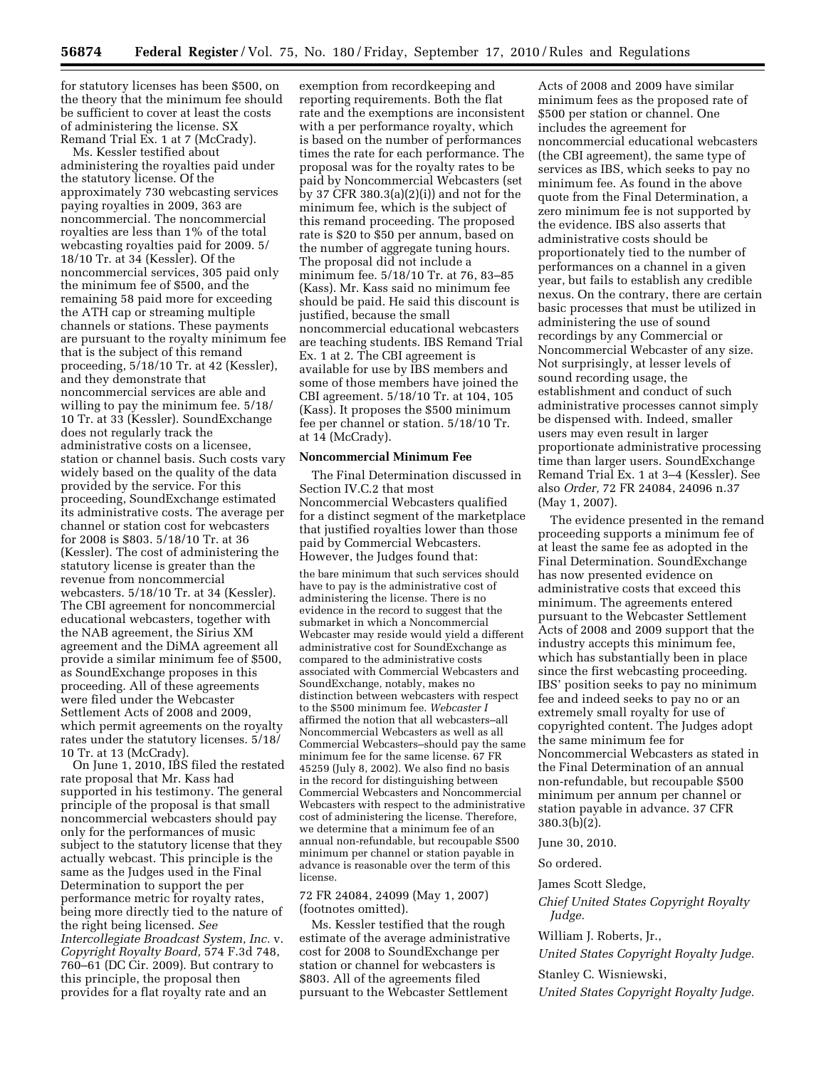for statutory licenses has been \$500, on the theory that the minimum fee should be sufficient to cover at least the costs of administering the license. SX Remand Trial Ex. 1 at 7 (McCrady).

Ms. Kessler testified about administering the royalties paid under the statutory license. Of the approximately 730 webcasting services paying royalties in 2009, 363 are noncommercial. The noncommercial royalties are less than 1% of the total webcasting royalties paid for 2009. 5/ 18/10 Tr. at 34 (Kessler). Of the noncommercial services, 305 paid only the minimum fee of \$500, and the remaining 58 paid more for exceeding the ATH cap or streaming multiple channels or stations. These payments are pursuant to the royalty minimum fee that is the subject of this remand proceeding, 5/18/10 Tr. at 42 (Kessler), and they demonstrate that noncommercial services are able and willing to pay the minimum fee. 5/18/ 10 Tr. at 33 (Kessler). SoundExchange does not regularly track the administrative costs on a licensee, station or channel basis. Such costs vary widely based on the quality of the data provided by the service. For this proceeding, SoundExchange estimated its administrative costs. The average per channel or station cost for webcasters for 2008 is \$803. 5/18/10 Tr. at 36 (Kessler). The cost of administering the statutory license is greater than the revenue from noncommercial webcasters. 5/18/10 Tr. at 34 (Kessler). The CBI agreement for noncommercial educational webcasters, together with the NAB agreement, the Sirius XM agreement and the DiMA agreement all provide a similar minimum fee of \$500, as SoundExchange proposes in this proceeding. All of these agreements were filed under the Webcaster Settlement Acts of 2008 and 2009, which permit agreements on the royalty rates under the statutory licenses. 5/18/ 10 Tr. at 13 (McCrady).

On June 1, 2010, IBS filed the restated rate proposal that Mr. Kass had supported in his testimony. The general principle of the proposal is that small noncommercial webcasters should pay only for the performances of music subject to the statutory license that they actually webcast. This principle is the same as the Judges used in the Final Determination to support the per performance metric for royalty rates, being more directly tied to the nature of the right being licensed. *See Intercollegiate Broadcast System, Inc.* v. *Copyright Royalty Board,* 574 F.3d 748,  $760-61$  (DC Cir. 2009). But contrary to this principle, the proposal then provides for a flat royalty rate and an

exemption from recordkeeping and reporting requirements. Both the flat rate and the exemptions are inconsistent with a per performance royalty, which is based on the number of performances times the rate for each performance. The proposal was for the royalty rates to be paid by Noncommercial Webcasters (set by 37 CFR 380.3(a)(2)(i)) and not for the minimum fee, which is the subject of this remand proceeding. The proposed rate is \$20 to \$50 per annum, based on the number of aggregate tuning hours. The proposal did not include a minimum fee. 5/18/10 Tr. at 76, 83–85 (Kass). Mr. Kass said no minimum fee should be paid. He said this discount is justified, because the small noncommercial educational webcasters are teaching students. IBS Remand Trial Ex. 1 at 2. The CBI agreement is available for use by IBS members and some of those members have joined the CBI agreement. 5/18/10 Tr. at 104, 105 (Kass). It proposes the \$500 minimum fee per channel or station. 5/18/10 Tr. at 14 (McCrady).

## **Noncommercial Minimum Fee**

The Final Determination discussed in Section IV.C.2 that most Noncommercial Webcasters qualified for a distinct segment of the marketplace that justified royalties lower than those paid by Commercial Webcasters. However, the Judges found that:

the bare minimum that such services should have to pay is the administrative cost of administering the license. There is no evidence in the record to suggest that the submarket in which a Noncommercial Webcaster may reside would yield a different administrative cost for SoundExchange as compared to the administrative costs associated with Commercial Webcasters and SoundExchange, notably, makes no distinction between webcasters with respect to the \$500 minimum fee. *Webcaster I*  affirmed the notion that all webcasters–all Noncommercial Webcasters as well as all Commercial Webcasters–should pay the same minimum fee for the same license. 67 FR 45259 (July 8, 2002). We also find no basis in the record for distinguishing between Commercial Webcasters and Noncommercial Webcasters with respect to the administrative cost of administering the license. Therefore, we determine that a minimum fee of an annual non-refundable, but recoupable \$500 minimum per channel or station payable in advance is reasonable over the term of this license.

## 72 FR 24084, 24099 (May 1, 2007) (footnotes omitted).

Ms. Kessler testified that the rough estimate of the average administrative cost for 2008 to SoundExchange per station or channel for webcasters is \$803. All of the agreements filed pursuant to the Webcaster Settlement

Acts of 2008 and 2009 have similar minimum fees as the proposed rate of \$500 per station or channel. One includes the agreement for noncommercial educational webcasters (the CBI agreement), the same type of services as IBS, which seeks to pay no minimum fee. As found in the above quote from the Final Determination, a zero minimum fee is not supported by the evidence. IBS also asserts that administrative costs should be proportionately tied to the number of performances on a channel in a given year, but fails to establish any credible nexus. On the contrary, there are certain basic processes that must be utilized in administering the use of sound recordings by any Commercial or Noncommercial Webcaster of any size. Not surprisingly, at lesser levels of sound recording usage, the establishment and conduct of such administrative processes cannot simply be dispensed with. Indeed, smaller users may even result in larger proportionate administrative processing time than larger users. SoundExchange Remand Trial Ex. 1 at 3–4 (Kessler). See also *Order,* 72 FR 24084, 24096 n.37 (May 1, 2007).

The evidence presented in the remand proceeding supports a minimum fee of at least the same fee as adopted in the Final Determination. SoundExchange has now presented evidence on administrative costs that exceed this minimum. The agreements entered pursuant to the Webcaster Settlement Acts of 2008 and 2009 support that the industry accepts this minimum fee, which has substantially been in place since the first webcasting proceeding. IBS' position seeks to pay no minimum fee and indeed seeks to pay no or an extremely small royalty for use of copyrighted content. The Judges adopt the same minimum fee for Noncommercial Webcasters as stated in the Final Determination of an annual non-refundable, but recoupable \$500 minimum per annum per channel or station payable in advance. 37 CFR 380.3(b)(2).

# June 30, 2010.

#### So ordered.

James Scott Sledge,

*Chief United States Copyright Royalty Judge.* 

### William J. Roberts, Jr.,

*United States Copyright Royalty Judge.* 

Stanley C. Wisniewski,

*United States Copyright Royalty Judge.*